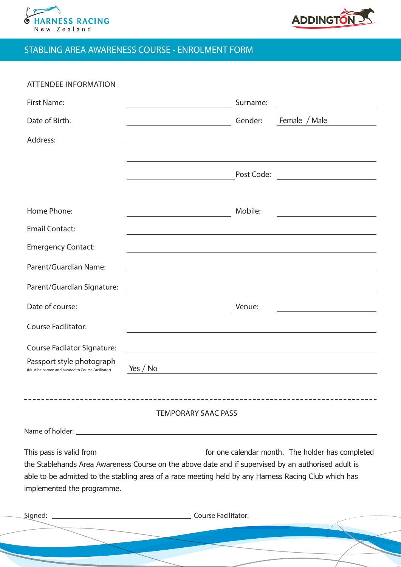



## STABLING AREA AWARENESS COURSE - ENROLMENT FORM

| <b>ATTENDEE INFORMATION</b>                                                   |                                                                                                                                         |          |                                                                                                                       |
|-------------------------------------------------------------------------------|-----------------------------------------------------------------------------------------------------------------------------------------|----------|-----------------------------------------------------------------------------------------------------------------------|
| <b>First Name:</b>                                                            |                                                                                                                                         | Surname: | <u> 1980 - John Stein, mars and de Britannic Born Books, and de Britannic Born Books, and de Britannic Born Books</u> |
| Date of Birth:                                                                |                                                                                                                                         | Gender:  | Female / Male                                                                                                         |
| Address:                                                                      |                                                                                                                                         |          |                                                                                                                       |
|                                                                               |                                                                                                                                         |          |                                                                                                                       |
|                                                                               |                                                                                                                                         |          | Post Code: _________________________                                                                                  |
|                                                                               |                                                                                                                                         |          |                                                                                                                       |
| Home Phone:                                                                   |                                                                                                                                         | Mobile:  |                                                                                                                       |
| <b>Email Contact:</b>                                                         |                                                                                                                                         |          |                                                                                                                       |
| <b>Emergency Contact:</b>                                                     |                                                                                                                                         |          |                                                                                                                       |
| Parent/Guardian Name:                                                         |                                                                                                                                         |          |                                                                                                                       |
| Parent/Guardian Signature:                                                    | <u> 1989 - Johann Stoff, amerikansk politiker (d. 1989)</u>                                                                             |          |                                                                                                                       |
| Date of course:                                                               | $\begin{aligned} \mathcal{L}_{\text{max}}(\mathcal{L}_{\text{max}}) = \mathcal{L}_{\text{max}}(\mathcal{L}_{\text{max}}) \end{aligned}$ | Venue:   | the control of the control of the control of                                                                          |
| <b>Course Facilitator:</b>                                                    |                                                                                                                                         |          |                                                                                                                       |
| Course Facilator Signature:                                                   | and the control of the control of the control of the control of the control of the control of the control of the                        |          |                                                                                                                       |
| Passport style photograph<br>(Must be named and handed to Course Facilitator) | Yes / $No$                                                                                                                              |          | <u> 1989 - Johann Barn, mars ann an t-Amhain Aonaichte ann an t-Aonaichte ann an t-Aonaichte ann an t-Aonaichte a</u> |
|                                                                               |                                                                                                                                         |          |                                                                                                                       |
|                                                                               |                                                                                                                                         |          |                                                                                                                       |
|                                                                               | <b>TEMPORARY SAAC PASS</b>                                                                                                              |          |                                                                                                                       |
|                                                                               |                                                                                                                                         |          |                                                                                                                       |
|                                                                               |                                                                                                                                         |          |                                                                                                                       |
|                                                                               | the Stablehands Area Awareness Course on the above date and if supervised by an authorised adult is                                     |          |                                                                                                                       |
|                                                                               | able to be admitted to the stabling area of a race meeting held by any Harness Racing Club which has                                    |          |                                                                                                                       |
| implemented the programme.                                                    |                                                                                                                                         |          |                                                                                                                       |
|                                                                               |                                                                                                                                         |          |                                                                                                                       |
|                                                                               |                                                                                                                                         |          |                                                                                                                       |
|                                                                               |                                                                                                                                         |          |                                                                                                                       |